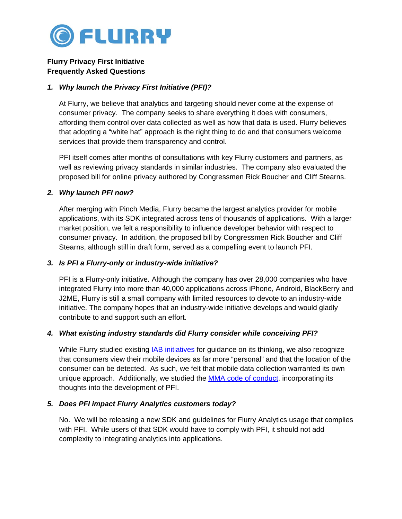

# **Flurry Privacy First Initiative Frequently Asked Questions**

### *1. Why launch the Privacy First Initiative (PFI)?*

At Flurry, we believe that analytics and targeting should never come at the expense of consumer privacy. The company seeks to share everything it does with consumers, affording them control over data collected as well as how that data is used. Flurry believes that adopting a "white hat" approach is the right thing to do and that consumers welcome services that provide them transparency and control.

PFI itself comes after months of consultations with key Flurry customers and partners, as well as reviewing privacy standards in similar industries. The company also evaluated the proposed bill for online privacy authored by Congressmen Rick Boucher and Cliff Stearns.

# *2. Why launch PFI now?*

After merging with Pinch Media, Flurry became the largest analytics provider for mobile applications, with its SDK integrated across tens of thousands of applications. With a larger market position, we felt a responsibility to influence developer behavior with respect to consumer privacy. In addition, the proposed bill by Congressmen Rick Boucher and Cliff Stearns, although still in draft form, served as a compelling event to launch PFI.

# *3. Is PFI a Flurry-only or industry-wide initiative?*

PFI is a Flurry-only initiative. Although the company has over 28,000 companies who have integrated Flurry into more than 40,000 applications across iPhone, Android, BlackBerry and J2ME, Flurry is still a small company with limited resources to devote to an industry-wide initiative. The company hopes that an industry-wide initiative develops and would gladly contribute to and support such an effort.

# *4. What existing industry standards did Flurry consider while conceiving PFI?*

While Flurry studied existing **IAB initiatives** for guidance on its thinking, we also recognize that consumers view their mobile devices as far more "personal" and that the location of the consumer can be detected. As such, we felt that mobile data collection warranted its own unique approach. Additionally, we studied the [MMA code of conduct,](http://mmaglobal.com/policies/code-of-conduct) incorporating its thoughts into the development of PFI.

# *5. Does PFI impact Flurry Analytics customers today?*

No. We will be releasing a new SDK and guidelines for Flurry Analytics usage that complies with PFI. While users of that SDK would have to comply with PFI, it should not add complexity to integrating analytics into applications.